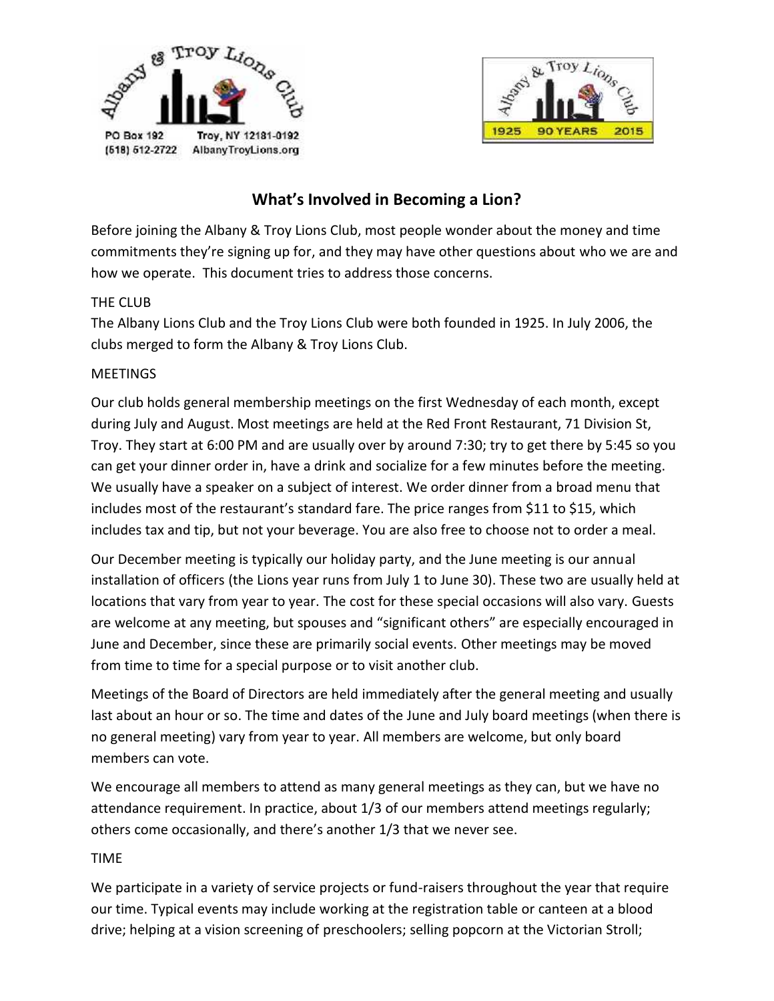



# **What's Involved in Becoming a Lion?**

Before joining the Albany & Troy Lions Club, most people wonder about the money and time commitments they're signing up for, and they may have other questions about who we are and how we operate. This document tries to address those concerns.

## THE CLUB

The Albany Lions Club and the Troy Lions Club were both founded in 1925. In July 2006, the clubs merged to form the Albany & Troy Lions Club.

### MEETINGS

Our club holds general membership meetings on the first Wednesday of each month, except during July and August. Most meetings are held at the Red Front Restaurant, 71 Division St, Troy. They start at 6:00 PM and are usually over by around 7:30; try to get there by 5:45 so you can get your dinner order in, have a drink and socialize for a few minutes before the meeting. We usually have a speaker on a subject of interest. We order dinner from a broad menu that includes most of the restaurant's standard fare. The price ranges from \$11 to \$15, which includes tax and tip, but not your beverage. You are also free to choose not to order a meal.

Our December meeting is typically our holiday party, and the June meeting is our annual installation of officers (the Lions year runs from July 1 to June 30). These two are usually held at locations that vary from year to year. The cost for these special occasions will also vary. Guests are welcome at any meeting, but spouses and "significant others" are especially encouraged in June and December, since these are primarily social events. Other meetings may be moved from time to time for a special purpose or to visit another club.

Meetings of the Board of Directors are held immediately after the general meeting and usually last about an hour or so. The time and dates of the June and July board meetings (when there is no general meeting) vary from year to year. All members are welcome, but only board members can vote.

We encourage all members to attend as many general meetings as they can, but we have no attendance requirement. In practice, about 1/3 of our members attend meetings regularly; others come occasionally, and there's another 1/3 that we never see.

# TIME

We participate in a variety of service projects or fund-raisers throughout the year that require our time. Typical events may include working at the registration table or canteen at a blood drive; helping at a vision screening of preschoolers; selling popcorn at the Victorian Stroll;